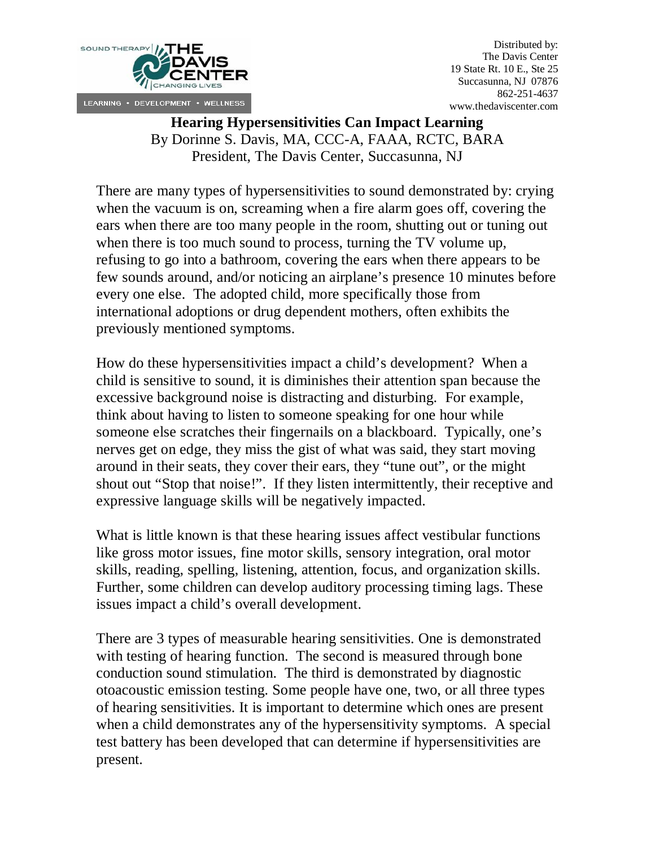

Distributed by: The Davis Center 19 State Rt. 10 E., Ste 25 Succasunna, NJ 07876 862-251-4637 www.thedaviscenter.com

## **Hearing Hypersensitivities Can Impact Learning** By Dorinne S. Davis, MA, CCC-A, FAAA, RCTC, BARA President, The Davis Center, Succasunna, NJ

There are many types of hypersensitivities to sound demonstrated by: crying when the vacuum is on, screaming when a fire alarm goes off, covering the ears when there are too many people in the room, shutting out or tuning out when there is too much sound to process, turning the TV volume up, refusing to go into a bathroom, covering the ears when there appears to be few sounds around, and/or noticing an airplane's presence 10 minutes before every one else. The adopted child, more specifically those from international adoptions or drug dependent mothers, often exhibits the previously mentioned symptoms.

How do these hypersensitivities impact a child's development? When a child is sensitive to sound, it is diminishes their attention span because the excessive background noise is distracting and disturbing. For example, think about having to listen to someone speaking for one hour while someone else scratches their fingernails on a blackboard. Typically, one's nerves get on edge, they miss the gist of what was said, they start moving around in their seats, they cover their ears, they "tune out", or the might shout out "Stop that noise!". If they listen intermittently, their receptive and expressive language skills will be negatively impacted.

What is little known is that these hearing issues affect vestibular functions like gross motor issues, fine motor skills, sensory integration, oral motor skills, reading, spelling, listening, attention, focus, and organization skills. Further, some children can develop auditory processing timing lags. These issues impact a child's overall development.

There are 3 types of measurable hearing sensitivities. One is demonstrated with testing of hearing function. The second is measured through bone conduction sound stimulation. The third is demonstrated by diagnostic otoacoustic emission testing. Some people have one, two, or all three types of hearing sensitivities. It is important to determine which ones are present when a child demonstrates any of the hypersensitivity symptoms. A special test battery has been developed that can determine if hypersensitivities are present.